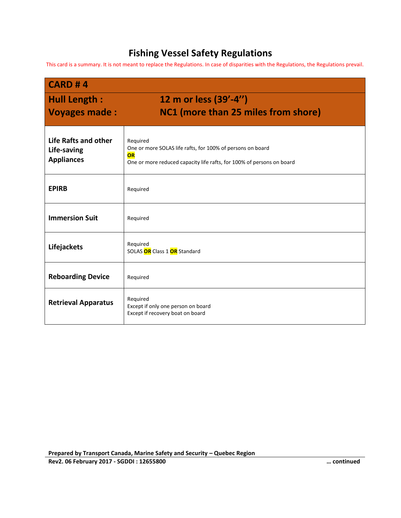## **Fishing Vessel Safety Regulations**

This card is a summary. It is not meant to replace the Regulations. In case of disparities with the Regulations, the Regulations prevail.

| <b>CARD #4</b>                                           |                                                                                                                                                       |
|----------------------------------------------------------|-------------------------------------------------------------------------------------------------------------------------------------------------------|
| <b>Hull Length:</b><br><b>Voyages made:</b>              | 12 m or less (39'-4")<br>NC1 (more than 25 miles from shore)                                                                                          |
| Life Rafts and other<br>Life-saving<br><b>Appliances</b> | Required<br>One or more SOLAS life rafts, for 100% of persons on board<br>OR<br>One or more reduced capacity life rafts, for 100% of persons on board |
| <b>EPIRB</b>                                             | Required                                                                                                                                              |
| <b>Immersion Suit</b>                                    | Required                                                                                                                                              |
| Lifejackets                                              | Required<br>SOLAS OR Class 1 OR Standard                                                                                                              |
| <b>Reboarding Device</b>                                 | Required                                                                                                                                              |
| <b>Retrieval Apparatus</b>                               | Required<br>Except if only one person on board<br>Except if recovery boat on board                                                                    |

**Prepared by Transport Canada, Marine Safety and Security – Quebec Region**

**Rev2. 06 February 2017 - SGDDI : 12655800 … continued**